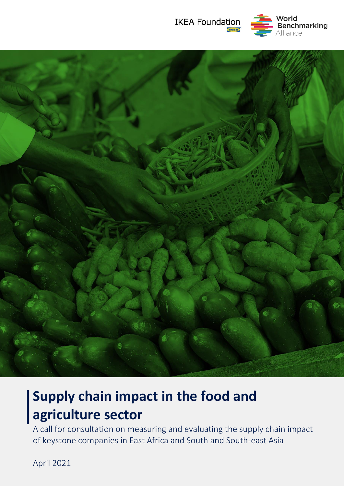





# **Supply chain impact in the food and agriculture sector**

A call for consultation on measuring and evaluating the supply chain impact of keystone companies in East Africa and South and South-east Asia

April 2021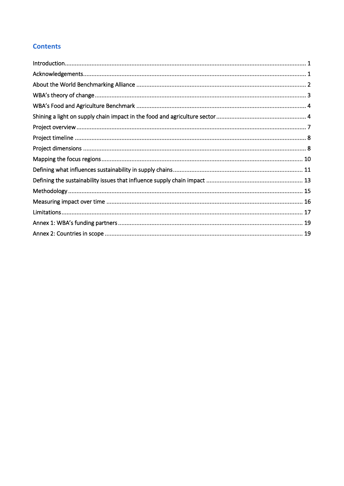# **Contents**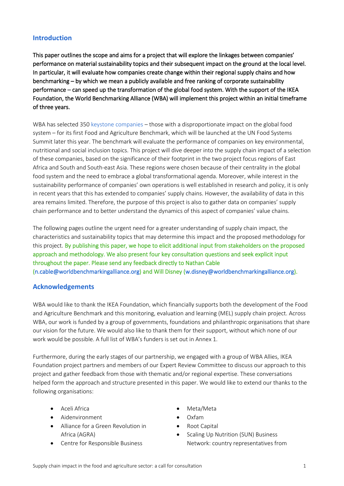## <span id="page-2-0"></span>**Introduction**

This paper outlines the scope and aims for a project that will explore the linkages between companies' performance on material sustainability topics and their subsequent impact on the ground at the local level. In particular, it will evaluate how companies create change within their regional supply chains and how benchmarking – by which we mean a publicly available and free ranking of corporate sustainability performance – can speed up the transformation of the global food system. With the support of the IKEA Foundation, the World Benchmarking Alliance (WBA) will implement this project within an initial timeframe of three years.

WBA has selected 35[0 keystone companies](https://www.worldbenchmarkingalliance.org/research/sdg2000-methodology/) – those with a disproportionate impact on the global food system – for its first Food and Agriculture Benchmark, which will be launched at the UN Food Systems Summit later this year. The benchmark will evaluate the performance of companies on key environmental, nutritional and social inclusion topics. This project will dive deeper into the supply chain impact of a selection of these companies, based on the significance of their footprint in the two project focus regions of East Africa and South and South-east Asia. These regions were chosen because of their centrality in the global food system and the need to embrace a global transformational agenda. Moreover, while interest in the sustainability performance of companies' own operations is well established in research and policy, it is only in recent years that this has extended to companies' supply chains. However, the availability of data in this area remains limited. Therefore, the purpose of this project is also to gather data on companies' supply chain performance and to better understand the dynamics of this aspect of companies' value chains.

The following pages outline the urgent need for a greater understanding of supply chain impact, the characteristics and sustainability topics that may determine this impact and the proposed methodology for this project. By publishing this paper, we hope to elicit additional input from stakeholders on the proposed approach and methodology. We also present four key consultation questions and seek explicit input throughout the paper. Please send any feedback directly to Nathan Cable [\(n.cable@worldbenchmarkingalliance.org\)](mailto:n.cable@worldbenchmarkingalliance.org) and Will Disney [\(w.disney@worldbenchmarkingalliance.org\)](mailto:w.disney@worldbenchmarkingalliance.org).

## <span id="page-2-1"></span>**Acknowledgements**

WBA would like to thank the IKEA Foundation, which financially supports both the development of the Food and Agriculture Benchmark and this monitoring, evaluation and learning (MEL) supply chain project. Across WBA, our work is funded by a group of governments, foundations and philanthropic organisations that share our vision for the future. We would also like to thank them for their support, without which none of our work would be possible. A full list of WBA's funders is set out in Annex 1.

Furthermore, during the early stages of our partnership, we engaged with a group of WBA Allies, IKEA Foundation project partners and members of our Expert Review Committee to discuss our approach to this project and gather feedback from those with thematic and/or regional expertise. These conversations helped form the approach and structure presented in this paper. We would like to extend our thanks to the following organisations:

- Aceli Africa
- Aidenvironment
- Alliance for a Green Revolution in Africa (AGRA)
- Centre for Responsible Business
- Meta/Meta
- Oxfam
- Root Capital
- Scaling Up Nutrition (SUN) Business Network: country representatives from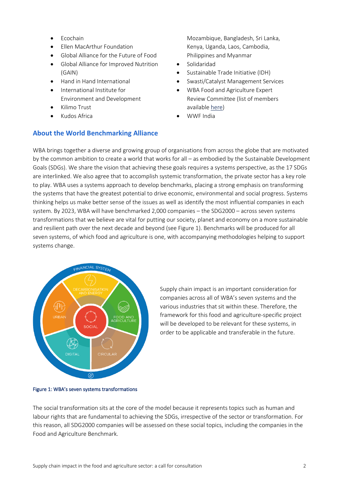- Ecochain
- Ellen MacArthur Foundation
- Global Alliance for the Future of Food
- Global Alliance for Improved Nutrition (GAIN)
- Hand in Hand International
- International Institute for Environment and Development
- Kilimo Trust
- Kudos Africa

# <span id="page-3-0"></span>**About the World Benchmarking Alliance**

Mozambique, Bangladesh, Sri Lanka, Kenya, Uganda, Laos, Cambodia, Philippines and Myanmar

- Solidaridad
- Sustainable Trade Initiative (IDH)
- Swasti/Catalyst Management Services
- WBA Food and Agriculture Expert Review Committee (list of members available [here\)](https://www.worldbenchmarkingalliance.org/food-and-agriculture-benchmark/)
- WWF India

WBA brings together a diverse and growing group of organisations from across the globe that are motivated by the common ambition to create a world that works for all – as embodied by the Sustainable Development Goals (SDGs). We share the vision that achieving these goals requires a systems perspective, as the 17 SDGs are interlinked. We also agree that to accomplish systemic transformation, the private sector has a key role to play. WBA uses a systems approach to develop benchmarks, placing a strong emphasis on transforming the systems that have the greatest potential to drive economic, environmental and social progress. Systems thinking helps us make better sense of the issues as well as identify the most influential companies in each system. By 2023, WBA will have benchmarked 2,000 companies – th[e SDG2000](https://www.worldbenchmarkingalliance.org/sdg2000/) – across seven systems transformations that we believe are vital for putting our society, planet and economy on a more sustainable and resilient path over the next decade and beyond (see Figure 1). Benchmarks will be produced for all seven systems, of which food and agriculture is one, with accompanying methodologies helping to support systems change.



Supply chain impact is an important consideration for companies across all of WBA's seven systems and the various industries that sit within these. Therefore, the framework for this food and agriculture-specific project will be developed to be relevant for these systems, in order to be applicable and transferable in the future.

#### Figure 1: WBA's seven systems transformations

The social transformation sits at the core of the model because it represents topics such as human and labour rights that are fundamental to achieving the SDGs, irrespective of the sector or transformation. For this reason, all SDG2000 companies will be assessed on these social topics, including the companies in the Food and Agriculture Benchmark.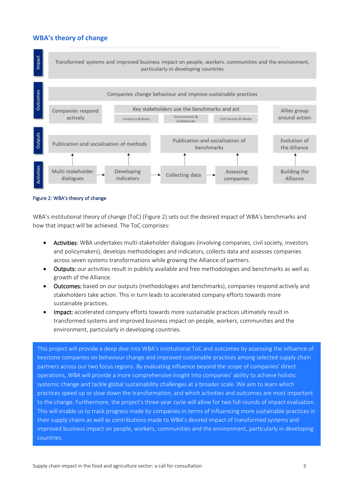# <span id="page-4-0"></span>**WBA's theory of change**



#### Figure 2: WBA's theory of change

WBA's institutional theory of change (ToC) (Figure 2) sets out the desired impact of WBA's benchmarks and how that impact will be achieved. The ToC comprises:

- Activities: WBA undertakes multi-stakeholder dialogues (involving companies, civil society, investors and policymakers), develops methodologies and indicators, collects data and assesses companies across seven systems transformations while growing the Alliance of partners.
- Outputs: our activities result in publicly available and free methodologies and benchmarks as well as growth of the Alliance.
- Outcomes: based on our outputs (methodologies and benchmarks), companies respond actively and stakeholders take action. This in turn leads to accelerated company efforts towards more sustainable practices.
- Impact: accelerated company efforts towards more sustainable practices ultimately result in transformed systems and improved business impact on people, workers, communities and the environment, particularly in developing countries.

This project will provide a deep dive into WBA's institutional ToC and outcomes by assessing the influence of keystone companies on behaviour change and improved sustainable practices among selected supply chain partners across our two focus regions. By evaluating influence beyond the scope of companies' direct operations, WBA will provide a more comprehensive insight into companies' ability to achieve holistic systemic change and tackle global sustainability challenges at a broader scale. We aim to learn which practices speed up or slow down the transformation, and which activities and outcomes are most important to the change. Furthermore, the project's three-year cycle will allow for two full rounds of impact evaluation. This will enable us to track progress made by companies in terms of influencing more sustainable practices in their supply chains as well as contributions made to WBA's desired impact of transformed systems and improved business impact on people, workers, communities and the environment, particularly in developing countries.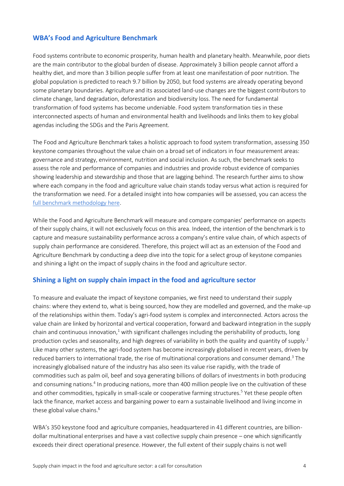# <span id="page-5-0"></span>**WBA's Food and Agriculture Benchmark**

Food systems contribute to economic prosperity, human health and planetary health. Meanwhile, poor diets are the main contributor to the global burden of disease. Approximately 3 billion people cannot afford a healthy diet, and more than 3 billion people suffer from at least one manifestation of poor nutrition. The global population is predicted to reach 9.7 billion by 2050, but food systems are already operating beyond some planetary boundaries. Agriculture and its associated land-use changes are the biggest contributors to climate change, land degradation, deforestation and biodiversity loss. The need for fundamental transformation of food systems has become undeniable. Food system transformation ties in these interconnected aspects of human and environmental health and livelihoods and links them to key global agendas including the SDGs and the Paris Agreement.

The Food and Agriculture Benchmark takes a holistic approach to food system transformation, assessing 350 keystone companies throughout the value chain on a broad set of indicators in four measurement areas: governance and strategy, environment, nutrition and social inclusion. As such, the benchmark seeks to assess the role and performance of companies and industries and provide robust evidence of companies showing leadership and stewardship and those that are lagging behind. The research further aims to show where each company in the food and agriculture value chain stands today versus what action is required for the transformation we need. For a detailed insight into how companies will be assessed, you can access the [full benchmark methodology here.](https://assets.worldbenchmarkingalliance.org/app/uploads/2021/02/WBA-Food-and-Agriculture-Benchmark-Methodology.pdf)

While the Food and Agriculture Benchmark will measure and compare companies' performance on aspects of their supply chains, it will not exclusively focus on this area. Indeed, the intention of the benchmark is to capture and measure sustainability performance across a company's entire value chain, of which aspects of supply chain performance are considered. Therefore, this project will act as an extension of the Food and Agriculture Benchmark by conducting a deep dive into the topic for a select group of keystone companies and shining a light on the impact of supply chains in the food and agriculture sector.

## <span id="page-5-1"></span>**Shining a light on supply chain impact in the food and agriculture sector**

To measure and evaluate the impact of keystone companies, we first need to understand their supply chains: where they extend to, what is being sourced, how they are modelled and governed, and the make-up of the relationships within them. Today's agri-food system is complex and interconnected. Actors across the value chain are linked by horizontal and vertical cooperation, forward and backward integration in the supply chain and continuous innovation, $1$  with significant challenges including the perishability of products, long production cycles and seasonality, and high degrees of variability in both the quality and quantity of supply.<sup>2</sup> Like many other systems, the agri-food system has become increasingly globalised in recent years, driven by reduced barriers to international trade, the rise of multinational corporations and consumer demand.<sup>3</sup> The increasingly globalised nature of the industry has also seen its value rise rapidly, with the trade of commodities such as palm oil, beef and soya generating billions of dollars of investments in both producing and consuming nations.<sup>4</sup> In producing nations, more than 400 million people live on the cultivation of these and other commodities, typically in small-scale or cooperative farming structures.<sup>5</sup> Yet these people often lack the finance, market access and bargaining power to earn a sustainable livelihood and living income in these global value chains.<sup>6</sup>

WBA's 350 keystone food and agriculture companies, headquartered in 41 different countries, are billiondollar multinational enterprises and have a vast collective supply chain presence – one which significantly exceeds their direct operational presence. However, the full extent of their supply chains is not well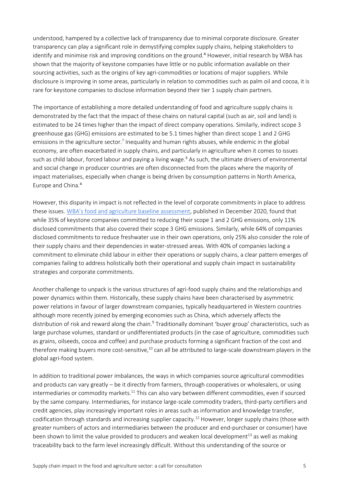understood, hampered by a collective lack of transparency due to minimal corporate disclosure. Greater transparency can play a significant role in demystifying complex supply chains, helping stakeholders to identify and minimise risk and improving conditions on the ground.<sup>4</sup> However, initial research by WBA has shown that the majority of keystone companies have little or no public information available on their sourcing activities, such as the origins of key agri-commodities or locations of major suppliers. While disclosure is improving in some areas, particularly in relation to commodities such as palm oil and cocoa, it is rare for keystone companies to disclose information beyond their tier 1 supply chain partners.

The importance of establishing a more detailed understanding of food and agriculture supply chains is demonstrated by the fact that the impact of these chains on natural capital (such as air, soil and land) is estimated to be 24 times higher than the impact of direct company operations. Similarly, indirect scope 3 greenhouse gas (GHG) emissions are estimated to be 5.1 times higher than direct scope 1 and 2 GHG emissions in the agriculture sector.<sup>7</sup> Inequality and human rights abuses, while endemic in the global economy, are often exacerbated in supply chains, and particularly in agriculture when it comes to issues such as child labour, forced labour and paying a living wage.<sup>8</sup> As such, the ultimate drivers of environmental and social change in producer countries are often disconnected from the places where the majority of impact materialises, especially when change is being driven by consumption patterns in North America, Europe and China.<sup>4</sup>

However, this disparity in impact is not reflected in the level of corporate commitments in place to address these issues. [WBA's food and agriculture baseline assessment](https://www.worldbenchmarkingalliance.org/publication/food-agriculture/), published in December 2020, found that while 35% of keystone companies committed to reducing their scope 1 and 2 GHG emissions, only 11% disclosed commitments that also covered their scope 3 GHG emissions. Similarly, while 64% of companies disclosed commitments to reduce freshwater use in their own operations, only 25% also consider the role of their supply chains and their dependencies in water-stressed areas. With 40% of companies lacking a commitment to eliminate child labour in either their operations or supply chains, a clear pattern emerges of companies failing to address holistically both their operational and supply chain impact in sustainability strategies and corporate commitments.

Another challenge to unpack is the various structures of agri-food supply chains and the relationships and power dynamics within them. Historically, these supply chains have been characterised by asymmetric power relations in favour of larger downstream companies, typically headquartered in Western countries although more recently joined by emerging economies such as China, which adversely affects the distribution of risk and reward along the chain.<sup>9</sup> Traditionally dominant 'buyer group' characteristics, such as large purchase volumes, standard or undifferentiated products (in the case of agriculture, commodities such as grains, oilseeds, cocoa and coffee) and purchase products forming a significant fraction of the cost and therefore making buyers more cost-sensitive,<sup>10</sup> can all be attributed to large-scale downstream players in the global agri-food system.

In addition to traditional power imbalances, the ways in which companies source agricultural commodities and products can vary greatly – be it directly from farmers, through cooperatives or wholesalers, or using intermediaries or commodity markets.<sup>11</sup> This can also vary between different commodities, even if sourced by the same company. Intermediaries, for instance large-scale commodity traders, third-party certifiers and credit agencies, play increasingly important roles in areas such as information and knowledge transfer, codification through standards and increasing supplier capacity.<sup>12</sup> However, longer supply chains (those with greater numbers of actors and intermediaries between the producer and end-purchaser or consumer) have been shown to limit the value provided to producers and weaken local development<sup>13</sup> as well as making traceability back to the farm level increasingly difficult. Without this understanding of the source or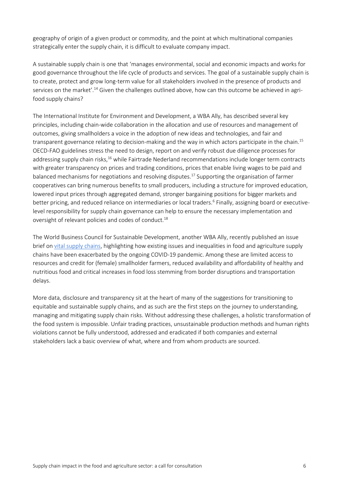geography of origin of a given product or commodity, and the point at which multinational companies strategically enter the supply chain, it is difficult to evaluate company impact.

A sustainable supply chain is one that 'manages environmental, social and economic impacts and works for good governance throughout the life cycle of products and services. The goal of a sustainable supply chain is to create, protect and grow long-term value for all stakeholders involved in the presence of products and services on the market'.<sup>14</sup> Given the challenges outlined above, how can this outcome be achieved in agrifood supply chains?

The International Institute for Environment and Development, a WBA Ally, has described several key principles, including chain-wide collaboration in the allocation and use of resources and management of outcomes, giving smallholders a voice in the adoption of new ideas and technologies, and fair and transparent governance relating to decision-making and the way in which actors participate in the chain.<sup>15</sup> OECD-FAO guidelines stress the need to design, report on and verify robust due diligence processes for addressing supply chain risks,<sup>16</sup> while Fairtrade Nederland recommendations include longer term contracts with greater transparency on prices and trading conditions, prices that enable living wages to be paid and balanced mechanisms for negotiations and resolving disputes.<sup>17</sup> Supporting the organisation of farmer cooperatives can bring numerous benefits to small producers, including a structure for improved education, lowered input prices through aggregated demand, stronger bargaining positions for bigger markets and better pricing, and reduced reliance on intermediaries or local traders.<sup>6</sup> Finally, assigning board or executivelevel responsibility for supply chain governance can help to ensure the necessary implementation and oversight of relevant policies and codes of conduct.<sup>18</sup>

The World Business Council for Sustainable Development, another WBA Ally, recently published an issue brief on [vital supply chains,](https://www.wbcsd.org/WBCSD-COVID-19-Response-Program/Vital-Supply-Chains/Resources/WBCSD-s-COVID-19-Response-Program-Vital-Supply-Chains-issue-brief) highlighting how existing issues and inequalities in food and agriculture supply chains have been exacerbated by the ongoing COVID-19 pandemic. Among these are limited access to resources and credit for (female) smallholder farmers, reduced availability and affordability of healthy and nutritious food and critical increases in food loss stemming from border disruptions and transportation delays.

<span id="page-7-0"></span>More data, disclosure and transparency sit at the heart of many of the suggestions for transitioning to equitable and sustainable supply chains, and as such are the first steps on the journey to understanding, managing and mitigating supply chain risks. Without addressing these challenges, a holistic transformation of the food system is impossible. Unfair trading practices, unsustainable production methods and human rights violations cannot be fully understood, addressed and eradicated if both companies and external stakeholders lack a basic overview of what, where and from whom products are sourced.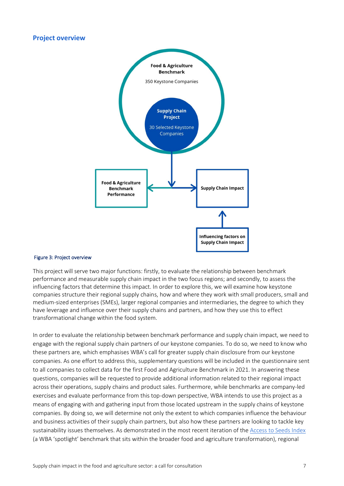#### **Project overview**



#### Figure 3: Project overview

This project will serve two major functions: firstly, to evaluate the relationship between benchmark performance and measurable supply chain impact in the two focus regions; and secondly, to assess the influencing factors that determine this impact. In order to explore this, we will examine how keystone companies structure their regional supply chains, how and where they work with small producers, small and medium-sized enterprises (SMEs), larger regional companies and intermediaries, the degree to which they have leverage and influence over their supply chains and partners, and how they use this to effect transformational change within the food system.

In order to evaluate the relationship between benchmark performance and supply chain impact, we need to engage with the regional supply chain partners of our keystone companies. To do so, we need to know who these partners are, which emphasises WBA's call for greater supply chain disclosure from our keystone companies. As one effort to address this, supplementary questions will be included in the questionnaire sent to all companies to collect data for the first Food and Agriculture Benchmark in 2021. In answering these questions, companies will be requested to provide additional information related to their regional impact across their operations, supply chains and product sales. Furthermore, while benchmarks are company-led exercises and evaluate performance from this top-down perspective, WBA intends to use this project as a means of engaging with and gathering input from those located upstream in the supply chains of keystone companies. By doing so, we will determine not only the extent to which companies influence the behaviour and business activities of their supply chain partners, but also how these partners are looking to tackle key sustainability issues themselves. As demonstrated in the most recent iteration of th[e Access to Seeds Index](https://www.accesstoseeds.org/) (a WBA 'spotlight' benchmark that sits within the broader food and agriculture transformation), regional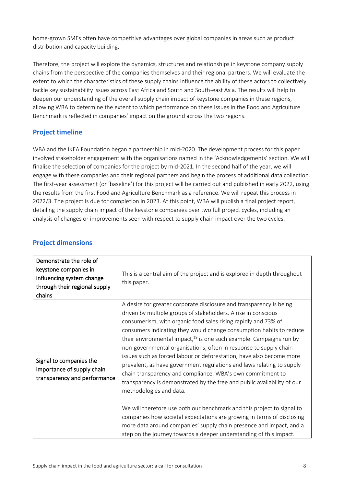home-grown SMEs often have competitive advantages over global companies in areas such as product distribution and capacity building.

Therefore, the project will explore the dynamics, structures and relationships in keystone company supply chains from the perspective of the companies themselves and their regional partners. We will evaluate the extent to which the characteristics of these supply chains influence the ability of these actors to collectively tackle key sustainability issues across East Africa and South and South-east Asia. The results will help to deepen our understanding of the overall supply chain impact of keystone companies in these regions, allowing WBA to determine the extent to which performance on these issues in the Food and Agriculture Benchmark is reflected in companies' impact on the ground across the two regions.

# <span id="page-9-0"></span>**Project timeline**

WBA and the IKEA Foundation began a partnership in mid-2020. The development process for this paper involved stakeholder engagement with the organisations named in the 'Acknowledgements' section. We will finalise the selection of companies for the project by mid-2021. In the second half of the year, we will engage with these companies and their regional partners and begin the process of additional data collection. The first-year assessment (or 'baseline') for this project will be carried out and published in early 2022, using the results from the first Food and Agriculture Benchmark as a reference. We will repeat this process in 2022/3. The project is due for completion in 2023. At this point, WBA will publish a final project report, detailing the supply chain impact of the keystone companies over two full project cycles, including an analysis of changes or improvements seen with respect to supply chain impact over the two cycles.

| Demonstrate the role of<br>keystone companies in<br>influencing system change<br>through their regional supply<br>chains | This is a central aim of the project and is explored in depth throughout<br>this paper.                                                                                                                                                                                                                                                                                                                                                                                                                                                                                                                                                                                                                                                                                                                                                                                                                                                                                                                                                                |
|--------------------------------------------------------------------------------------------------------------------------|--------------------------------------------------------------------------------------------------------------------------------------------------------------------------------------------------------------------------------------------------------------------------------------------------------------------------------------------------------------------------------------------------------------------------------------------------------------------------------------------------------------------------------------------------------------------------------------------------------------------------------------------------------------------------------------------------------------------------------------------------------------------------------------------------------------------------------------------------------------------------------------------------------------------------------------------------------------------------------------------------------------------------------------------------------|
| Signal to companies the<br>importance of supply chain<br>transparency and performance                                    | A desire for greater corporate disclosure and transparency is being<br>driven by multiple groups of stakeholders. A rise in conscious<br>consumerism, with organic food sales rising rapidly and 73% of<br>consumers indicating they would change consumption habits to reduce<br>their environmental impact, $^{19}$ is one such example. Campaigns run by<br>non-governmental organisations, often in response to supply chain<br>issues such as forced labour or deforestation, have also become more<br>prevalent, as have government regulations and laws relating to supply<br>chain transparency and compliance. WBA's own commitment to<br>transparency is demonstrated by the free and public availability of our<br>methodologies and data.<br>We will therefore use both our benchmark and this project to signal to<br>companies how societal expectations are growing in terms of disclosing<br>more data around companies' supply chain presence and impact, and a<br>step on the journey towards a deeper understanding of this impact. |

## <span id="page-9-1"></span>**Project dimensions**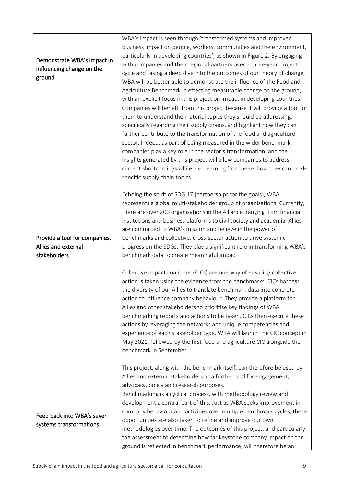| Demonstrate WBA's impact in<br>influencing change on the<br>ground   | WBA's impact is seen through 'transformed systems and improved<br>business impact on people, workers, communities and the environment,<br>particularly in developing countries', as shown in Figure 2. By engaging<br>with companies and their regional partners over a three-year project<br>cycle and taking a deep dive into the outcomes of our theory of change,<br>WBA will be better able to demonstrate the influence of the Food and<br>Agriculture Benchmark in effecting measurable change on the ground,<br>with an explicit focus in this project on impact in developing countries.                                                                                           |
|----------------------------------------------------------------------|---------------------------------------------------------------------------------------------------------------------------------------------------------------------------------------------------------------------------------------------------------------------------------------------------------------------------------------------------------------------------------------------------------------------------------------------------------------------------------------------------------------------------------------------------------------------------------------------------------------------------------------------------------------------------------------------|
|                                                                      | Companies will benefit from this project because it will provide a tool for<br>them to understand the material topics they should be addressing,<br>specifically regarding their supply chains, and highlight how they can<br>further contribute to the transformation of the food and agriculture<br>sector. Indeed, as part of being measured in the wider benchmark,<br>companies play a key role in the sector's transformation, and the<br>insights generated by this project will allow companies to address<br>current shortcomings while also learning from peers how they can tackle<br>specific supply chain topics.                                                              |
| Provide a tool for companies,<br>Allies and external<br>stakeholders | Echoing the spirit of SDG 17 (partnerships for the goals), WBA<br>represents a global multi-stakeholder group of organisations. Currently,<br>there are over 200 organisations in the Alliance, ranging from financial<br>institutions and business platforms to civil society and academia. Allies<br>are committed to WBA's mission and believe in the power of<br>benchmarks and collective, cross-sector action to drive systemic<br>progress on the SDGs. They play a significant role in transforming WBA's<br>benchmark data to create meaningful impact.                                                                                                                            |
|                                                                      | Collective impact coalitions (CICs) are one way of ensuring collective<br>action is taken using the evidence from the benchmarks. CICs harness<br>the diversity of our Allies to translate benchmark data into concrete<br>action to influence company behaviour. They provide a platform for<br>Allies and other stakeholders to prioritise key findings of WBA<br>benchmarking reports and actions to be taken. CICs then execute these<br>actions by leveraging the networks and unique competencies and<br>experience of each stakeholder type. WBA will launch the CIC concept in<br>May 2021, followed by the first food and agriculture CIC alongside the<br>benchmark in September. |
|                                                                      | This project, along with the benchmark itself, can therefore be used by<br>Allies and external stakeholders as a further tool for engagement,<br>advocacy, policy and research purposes.                                                                                                                                                                                                                                                                                                                                                                                                                                                                                                    |
| Feed back into WBA's seven<br>systems transformations                | Benchmarking is a cyclical process, with methodology review and<br>development a central part of this. Just as WBA seeks improvement in<br>company behaviour and activities over multiple benchmark cycles, these<br>opportunities are also taken to refine and improve our own<br>methodologies over time. The outcomes of this project, and particularly<br>the assessment to determine how far keystone company impact on the<br>ground is reflected in benchmark performance, will therefore be an                                                                                                                                                                                      |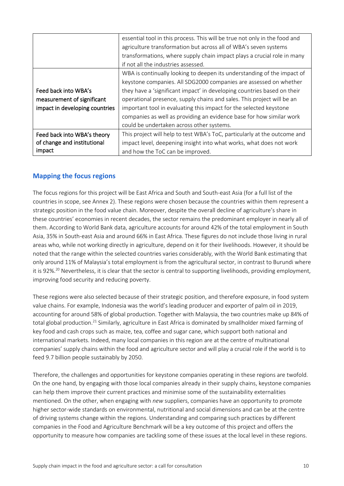|                                | essential tool in this process. This will be true not only in the food and<br>agriculture transformation but across all of WBA's seven systems<br>transformations, where supply chain impact plays a crucial role in many |  |
|--------------------------------|---------------------------------------------------------------------------------------------------------------------------------------------------------------------------------------------------------------------------|--|
|                                | if not all the industries assessed.                                                                                                                                                                                       |  |
|                                | WBA is continually looking to deepen its understanding of the impact of                                                                                                                                                   |  |
|                                | keystone companies. All SDG2000 companies are assessed on whether                                                                                                                                                         |  |
| Feed back into WBA's           | they have a 'significant impact' in developing countries based on their                                                                                                                                                   |  |
| measurement of significant     | operational presence, supply chains and sales. This project will be an                                                                                                                                                    |  |
| impact in developing countries | important tool in evaluating this impact for the selected keystone                                                                                                                                                        |  |
|                                | companies as well as providing an evidence base for how similar work                                                                                                                                                      |  |
|                                | could be undertaken across other systems.                                                                                                                                                                                 |  |
| Feed back into WBA's theory    | This project will help to test WBA's ToC, particularly at the outcome and                                                                                                                                                 |  |
| of change and institutional    | impact level, deepening insight into what works, what does not work                                                                                                                                                       |  |
| impact                         | and how the ToC can be improved.                                                                                                                                                                                          |  |

# <span id="page-11-0"></span>**Mapping the focus regions**

The focus regions for this project will be East Africa and South and South-east Asia (for a full list of the countries in scope, see Annex 2). These regions were chosen because the countries within them represent a strategic position in the food value chain. Moreover, despite the overall decline of agriculture's share in these countries' economies in recent decades, the sector remains the predominant employer in nearly all of them. According to World Bank data, agriculture accounts for around 42% of the total employment in South Asia, 35% in South-east Asia and around 66% in East Africa. These figures do not include those living in rural areas who, while not working directly in agriculture, depend on it for their livelihoods. However, it should be noted that the range within the selected countries varies considerably, with the World Bank estimating that only around 11% of Malaysia's total employment is from the agricultural sector, in contrast to Burundi where it is 92%.<sup>20</sup> Nevertheless, it is clear that the sector is central to supporting livelihoods, providing employment, improving food security and reducing poverty.

These regions were also selected because of their strategic position, and therefore exposure, in food system value chains. For example, Indonesia was the world's leading producer and exporter of palm oil in 2019, accounting for around 58% of global production. Together with Malaysia, the two countries make up 84% of total global production.<sup>21</sup> Similarly, agriculture in East Africa is dominated by smallholder mixed farming of key food and cash crops such as maize, tea, coffee and sugar cane, which support both national and international markets. Indeed, many local companies in this region are at the centre of multinational companies' supply chains within the food and agriculture sector and will play a crucial role if the world is to feed 9.7 billion people sustainably by 2050.

Therefore, the challenges and opportunities for keystone companies operating in these regions are twofold. On the one hand, by engaging with those local companies already in their supply chains, keystone companies can help them improve their current practices and minimise some of the sustainability externalities mentioned. On the other, when engaging with *new* suppliers, companies have an opportunity to promote higher sector-wide standards on environmental, nutritional and social dimensions and can be at the centre of driving systems change within the regions. Understanding and comparing such practices by different companies in the Food and Agriculture Benchmark will be a key outcome of this project and offers the opportunity to measure how companies are tackling some of these issues at the local level in these regions.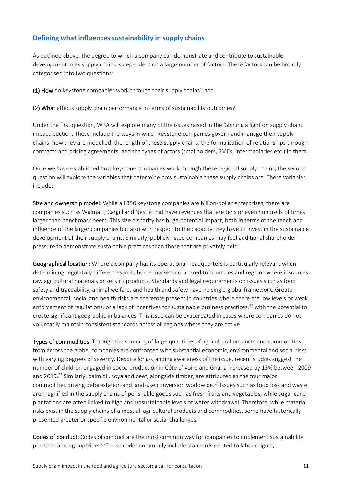# <span id="page-12-0"></span>**Defining what influences sustainability in supply chains**

As outlined above, the degree to which a company can demonstrate and contribute to sustainable development in its supply chains is dependent on a large number of factors. These factors can be broadly categorised into two questions:

(1) How do keystone companies work through their supply chains? and

(2) What affects supply chain performance in terms of sustainability outcomes?

Under the first question, WBA will explore many of the issues raised in the 'Shining a light on supply chain impact' section. These include the ways in which keystone companies govern and manage their supply chains, how they are modelled, the length of these supply chains, the formalisation of relationships through contracts and pricing agreements, and the types of actors (smallholders, SMEs, intermediaries etc.) in them.

Once we have established how keystone companies work through these regional supply chains, the second question will explore the variables that determine how sustainable these supply chains are. These variables include:

Size and ownership model: While all 350 keystone companies are billion-dollar enterprises, there are companies such as Walmart, Cargill and Nestlé that have revenues that are tens or even hundreds of times larger than benchmark peers. This size disparity has huge potential impact, both in terms of the reach and influence of the larger companies but also with respect to the capacity they have to invest in the sustainable development of their supply chains. Similarly, publicly listed companies may feel additional shareholder pressure to demonstrate sustainable practices than those that are privately held.

Geographical location: Where a company has its operational headquarters is particularly relevant when determining regulatory differences in its home markets compared to countries and regions where it sources raw agricultural materials or sells its products. Standards and legal requirements on issues such as food safety and traceability, animal welfare, and health and safety have no single global framework. Greater environmental, social and health risks are therefore present in countries where there are low levels or weak enforcement of regulations, or a lack of incentives for sustainable business practices, $^{22}$  with the potential to create significant geographic imbalances. This issue can be exacerbated in cases where companies do not voluntarily maintain consistent standards across all regions where they are active.

Types of commodities: Through the sourcing of large quantities of agricultural products and commodities from across the globe, companies are confronted with substantial economic, environmental and social risks with varying degrees of severity. Despite long-standing awareness of the issue, recent studies suggest the number of children engaged in cocoa production in Côte d'Ivoire and Ghana increased by 13% between 2009 and 2019.<sup>23</sup> Similarly, palm oil, sova and beef, alongside timber, are attributed as the four major commodities driving deforestation and land-use conversion worldwide.<sup>24</sup> Issues such as food loss and waste are magnified in the supply chains of perishable goods such as fresh fruits and vegetables, while sugar cane plantations are often linked to high and unsustainable levels of water withdrawal. Therefore, while material risks exist in the supply chains of almost all agricultural products and commodities, some have historically presented greater or specific environmental or social challenges.

Codes of conduct: Codes of conduct are the most common way for companies to implement sustainability practices among suppliers.<sup>25</sup> These codes commonly include standards related to labour rights,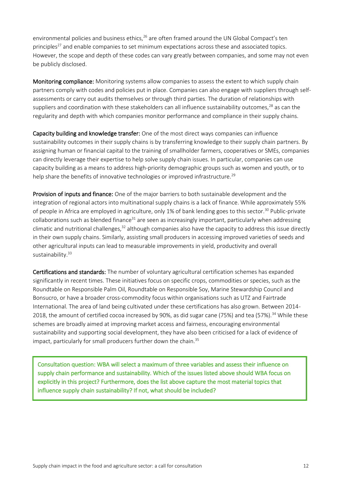environmental policies and business ethics,<sup>26</sup> are often framed around the UN Global Compact's ten principles<sup>27</sup> and enable companies to set minimum expectations across these and associated topics. However, the scope and depth of these codes can vary greatly between companies, and some may not even be publicly disclosed.

Monitoring compliance: Monitoring systems allow companies to assess the extent to which supply chain partners comply with codes and policies put in place. Companies can also engage with suppliers through selfassessments or carry out audits themselves or through third parties. The duration of relationships with suppliers and coordination with these stakeholders can all influence sustainability outcomes, $28$  as can the regularity and depth with which companies monitor performance and compliance in their supply chains.

Capacity building and knowledge transfer: One of the most direct ways companies can influence sustainability outcomes in their supply chains is by transferring knowledge to their supply chain partners. By assigning human or financial capital to the training of smallholder farmers, cooperatives or SMEs, companies can directly leverage their expertise to help solve supply chain issues. In particular, companies can use capacity building as a means to address high-priority demographic groups such as women and youth, or to help share the benefits of innovative technologies or improved infrastructure.<sup>29</sup>

Provision of inputs and finance: One of the major barriers to both sustainable development and the integration of regional actors into multinational supply chains is a lack of finance. While approximately 55% of people in Africa are employed in agriculture, only 1% of bank lending goes to this sector.<sup>30</sup> Public-private collaborations such as blended finance<sup>31</sup> are seen as increasingly important, particularly when addressing climatic and nutritional challenges, $32$  although companies also have the capacity to address this issue directly in their own supply chains. Similarly, assisting small producers in accessing improved varieties of seeds and other agricultural inputs can lead to measurable improvements in yield, productivity and overall sustainability.<sup>33</sup>

Certifications and standards: The number of voluntary agricultural certification schemes has expanded significantly in recent times. These initiatives focus on specific crops, commodities or species, such as the Roundtable on Responsible Palm Oil, Roundtable on Responsible Soy, Marine Stewardship Council and Bonsucro, or have a broader cross-commodity focus within organisations such as UTZ and Fairtrade International. The area of land being cultivated under these certifications has also grown. Between 2014- 2018, the amount of certified cocoa increased by 90%, as did sugar cane (75%) and tea (57%).<sup>34</sup> While these schemes are broadly aimed at improving market access and fairness, encouraging environmental sustainability and supporting social development, they have also been criticised for a lack of evidence of impact, particularly for small producers further down the chain.<sup>35</sup>

Consultation question: WBA will select a maximum of three variables and assess their influence on supply chain performance and sustainability. Which of the issues listed above should WBA focus on explicitly in this project? Furthermore, does the list above capture the most material topics that influence supply chain sustainability? If not, what should be included?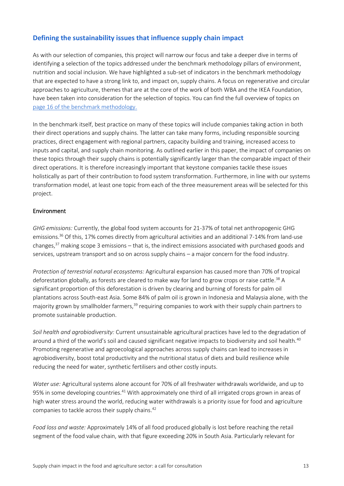# <span id="page-14-0"></span>**Defining the sustainability issues that influence supply chain impact**

As with our selection of companies, this project will narrow our focus and take a deeper dive in terms of identifying a selection of the topics addressed under the benchmark methodology pillars of environment, nutrition and social inclusion. We have highlighted a sub-set of indicators in the benchmark methodology that are expected to have a strong link to, and impact on, supply chains. A focus on regenerative and circular approaches to agriculture, themes that are at the core of the work of both WBA and the IKEA Foundation, have been taken into consideration for the selection of topics. You can find the full overview of topics on [page 16 of the benchmark methodology.](https://assets.worldbenchmarkingalliance.org/app/uploads/2021/02/Food-and-Agriculture-Benchmark-methodology-report.pdf)

In the benchmark itself, best practice on many of these topics will include companies taking action in both their direct operations and supply chains. The latter can take many forms, including responsible sourcing practices, direct engagement with regional partners, capacity building and training, increased access to inputs and capital, and supply chain monitoring. As outlined earlier in this paper, the impact of companies on these topics through their supply chains is potentially significantly larger than the comparable impact of their direct operations. It is therefore increasingly important that keystone companies tackle these issues holistically as part of their contribution to food system transformation. Furthermore, in line with our systems transformation model, at least one topic from each of the three measurement areas will be selected for this project.

#### Environment

*GHG emissions:* Currently, the global food system accounts for 21-37% of total net anthropogenic GHG emissions.<sup>36</sup> Of this, 17% comes directly from agricultural activities and an additional 7-14% from land-use changes,<sup>37</sup> making scope 3 emissions – that is, the indirect emissions associated with purchased goods and services, upstream transport and so on across supply chains – a major concern for the food industry.

*Protection of terrestrial natural ecosystems:* Agricultural expansion has caused more than 70% of tropical deforestation globally, as forests are cleared to make way for land to grow crops or raise cattle.<sup>38</sup> A significant proportion of this deforestation is driven by clearing and burning of forests for palm oil plantations across South-east Asia. Some 84% of palm oil is grown in Indonesia and Malaysia alone, with the majority grown by smallholder farmers,<sup>39</sup> requiring companies to work with their supply chain partners to promote sustainable production.

*Soil health and agrobiodiversity:* Current unsustainable agricultural practices have led to the degradation of around a third of the world's soil and caused significant negative impacts to biodiversity and soil health.<sup>40</sup> Promoting regenerative and agroecological approaches across supply chains can lead to increases in agrobiodiversity, boost total productivity and the nutritional status of diets and build resilience while reducing the need for water, synthetic fertilisers and other costly inputs.

*Water use:* Agricultural systems alone account for 70% of all freshwater withdrawals worldwide, and up to 95% in some developing countries.<sup>41</sup> With approximately one third of all irrigated crops grown in areas of high water stress around the world, reducing water withdrawals is a priority issue for food and agriculture companies to tackle across their supply chains.<sup>42</sup>

*Food loss and waste:* Approximately 14% of all food produced globally is lost before reaching the retail segment of the food value chain, with that figure exceeding 20% in South Asia. Particularly relevant for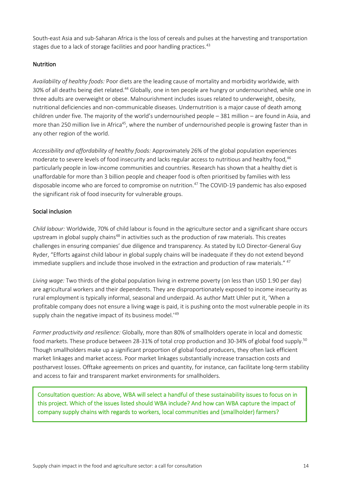South-east Asia and sub-Saharan Africa is the loss of cereals and pulses at the harvesting and transportation stages due to a lack of storage facilities and poor handling practices.<sup>43</sup>

#### **Nutrition**

*Availability of healthy foods:* Poor diets are the leading cause of mortality and morbidity worldwide, with 30% of all deaths being diet related.<sup>44</sup> Globally, one in ten people are hungry or undernourished, while one in three adults are overweight or obese. Malnourishment includes issues related to underweight, obesity, nutritional deficiencies and non-communicable diseases. Undernutrition is a major cause of death among children under five. The majority of the world's undernourished people – 381 million – are found in Asia, and more than 250 million live in Africa<sup>45</sup>, where the number of undernourished people is growing faster than in any other region of the world.

*Accessibility and affordability of healthy foods:* Approximately 26% of the global population experiences moderate to severe levels of food insecurity and lacks regular access to nutritious and healthy food,<sup>46</sup> particularly people in low-income communities and countries. Research has shown that a healthy diet is unaffordable for more than 3 billion people and cheaper food is often prioritised by families with less disposable income who are forced to compromise on nutrition.<sup>47</sup> The COVID-19 pandemic has also exposed the significant risk of food insecurity for vulnerable groups.

#### Social inclusion

*Child labour:* Worldwide, 70% of child labour is found in the agriculture sector and a significant share occurs upstream in global supply chains<sup>48</sup> in activities such as the production of raw materials. This creates challenges in ensuring companies' due diligence and transparency. As stated by ILO Director-General Guy Ryder, "Efforts against child labour in global supply chains will be inadequate if they do not extend beyond immediate suppliers and include those involved in the extraction and production of raw materials." <sup>47</sup>

*Living wage:* Two thirds of the global population living in extreme poverty (on less than USD 1.90 per day) are agricultural workers and their dependents. They are disproportionately exposed to income insecurity as rural employment is typically informal, seasonal and underpaid. As author Matt Uhler put it, 'When a profitable company does not ensure a living wage is paid, it is pushing onto the most vulnerable people in its supply chain the negative impact of its business model.<sup>'49</sup>

*Farmer productivity and resilience:* Globally, more than 80% of smallholders operate in local and domestic food markets. These produce between 28-31% of total crop production and 30-34% of global food supply.<sup>50</sup> Though smallholders make up a significant proportion of global food producers, they often lack efficient market linkages and market access. Poor market linkages substantially increase transaction costs and postharvest losses. Offtake agreements on prices and quantity, for instance, can facilitate long-term stability and access to fair and transparent market environments for smallholders.

Consultation question: As above, WBA will select a handful of these sustainability issues to focus on in this project. Which of the issues listed should WBA include? And how can WBA capture the impact of company supply chains with regards to workers, local communities and (smallholder) farmers?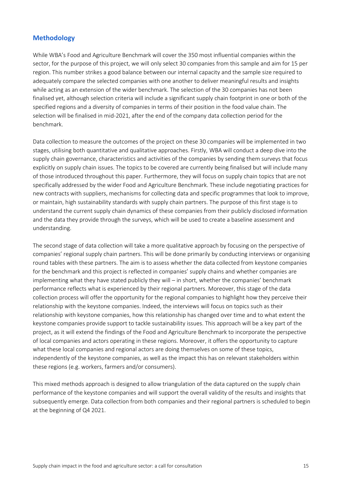## <span id="page-16-0"></span>**Methodology**

While WBA's Food and Agriculture Benchmark will cover the 350 most influential companies within the sector, for the purpose of this project, we will only select 30 companies from this sample and aim for 15 per region. This number strikes a good balance between our internal capacity and the sample size required to adequately compare the selected companies with one another to deliver meaningful results and insights while acting as an extension of the wider benchmark. The selection of the 30 companies has not been finalised yet, although selection criteria will include a significant supply chain footprint in one or both of the specified regions and a diversity of companies in terms of their position in the food value chain. The selection will be finalised in mid-2021, after the end of the company data collection period for the benchmark.

Data collection to measure the outcomes of the project on these 30 companies will be implemented in two stages, utilising both quantitative and qualitative approaches. Firstly, WBA will conduct a deep dive into the supply chain governance, characteristics and activities of the companies by sending them surveys that focus explicitly on supply chain issues. The topics to be covered are currently being finalised but will include many of those introduced throughout this paper. Furthermore, they will focus on supply chain topics that are not specifically addressed by the wider Food and Agriculture Benchmark. These include negotiating practices for new contracts with suppliers, mechanisms for collecting data and specific programmes that look to improve, or maintain, high sustainability standards with supply chain partners. The purpose of this first stage is to understand the current supply chain dynamics of these companies from their publicly disclosed information and the data they provide through the surveys, which will be used to create a baseline assessment and understanding.

The second stage of data collection will take a more qualitative approach by focusing on the perspective of companies' regional supply chain partners. This will be done primarily by conducting interviews or organising round tables with these partners. The aim is to assess whether the data collected from keystone companies for the benchmark and this project is reflected in companies' supply chains and whether companies are implementing what they have stated publicly they will – in short, whether the companies' benchmark performance reflects what is experienced by their regional partners. Moreover, this stage of the data collection process will offer the opportunity for the regional companies to highlight how they perceive their relationship with the keystone companies. Indeed, the interviews will focus on topics such as their relationship with keystone companies, how this relationship has changed over time and to what extent the keystone companies provide support to tackle sustainability issues. This approach will be a key part of the project, as it will extend the findings of the Food and Agriculture Benchmark to incorporate the perspective of local companies and actors operating in these regions. Moreover, it offers the opportunity to capture what these local companies and regional actors are doing themselves on some of these topics, independently of the keystone companies, as well as the impact this has on relevant stakeholders within these regions (e.g. workers, farmers and/or consumers).

This mixed methods approach is designed to allow triangulation of the data captured on the supply chain performance of the keystone companies and will support the overall validity of the results and insights that subsequently emerge. Data collection from both companies and their regional partners is scheduled to begin at the beginning of Q4 2021.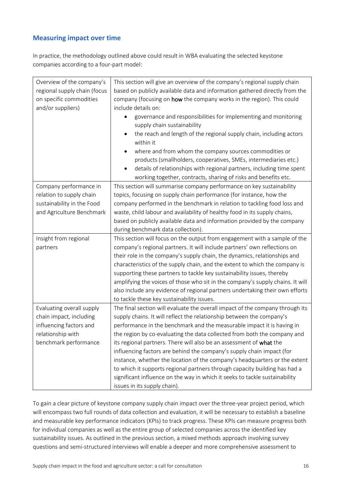# <span id="page-17-0"></span>**Measuring impact over time**

In practice, the methodology outlined above could result in WBA evaluating the selected keystone companies according to a four-part model:

| Overview of the company's    | This section will give an overview of the company's regional supply chain                                   |  |  |
|------------------------------|-------------------------------------------------------------------------------------------------------------|--|--|
| regional supply chain (focus | based on publicly available data and information gathered directly from the                                 |  |  |
| on specific commodities      | company (focusing on how the company works in the region). This could                                       |  |  |
| and/or suppliers)            | include details on:                                                                                         |  |  |
|                              | governance and responsibilities for implementing and monitoring<br>supply chain sustainability              |  |  |
|                              | the reach and length of the regional supply chain, including actors                                         |  |  |
|                              | within it                                                                                                   |  |  |
|                              | where and from whom the company sources commodities or                                                      |  |  |
|                              | products (smallholders, cooperatives, SMEs, intermediaries etc.)                                            |  |  |
|                              | details of relationships with regional partners, including time spent<br>$\bullet$                          |  |  |
|                              | working together, contracts, sharing of risks and benefits etc.                                             |  |  |
| Company performance in       | This section will summarise company performance on key sustainability                                       |  |  |
| relation to supply chain     | topics, focusing on supply chain performance (for instance, how the                                         |  |  |
| sustainability in the Food   | company performed in the benchmark in relation to tackling food loss and                                    |  |  |
| and Agriculture Benchmark    | waste, child labour and availability of healthy food in its supply chains,                                  |  |  |
|                              | based on publicly available data and information provided by the company                                    |  |  |
|                              | during benchmark data collection).                                                                          |  |  |
| Insight from regional        | This section will focus on the output from engagement with a sample of the                                  |  |  |
| partners                     | company's regional partners. It will include partners' own reflections on                                   |  |  |
|                              |                                                                                                             |  |  |
|                              |                                                                                                             |  |  |
|                              | their role in the company's supply chain, the dynamics, relationships and                                   |  |  |
|                              | characteristics of the supply chain, and the extent to which the company is                                 |  |  |
|                              | supporting these partners to tackle key sustainability issues, thereby                                      |  |  |
|                              | amplifying the voices of those who sit in the company's supply chains. It will                              |  |  |
|                              | also include any evidence of regional partners undertaking their own efforts                                |  |  |
|                              | to tackle these key sustainability issues.                                                                  |  |  |
| Evaluating overall supply    | The final section will evaluate the overall impact of the company through its                               |  |  |
| chain impact, including      | supply chains. It will reflect the relationship between the company's                                       |  |  |
| influencing factors and      | performance in the benchmark and the measurable impact it is having in                                      |  |  |
| relationship with            | the region by co-evaluating the data collected from both the company and                                    |  |  |
| benchmark performance        | its regional partners. There will also be an assessment of what the                                         |  |  |
|                              | influencing factors are behind the company's supply chain impact (for                                       |  |  |
|                              | instance, whether the location of the company's headquarters or the extent                                  |  |  |
|                              | to which it supports regional partners through capacity building has had a                                  |  |  |
|                              | significant influence on the way in which it seeks to tackle sustainability<br>issues in its supply chain). |  |  |

To gain a clear picture of keystone company supply chain impact over the three-year project period, which will encompass two full rounds of data collection and evaluation, it will be necessary to establish a baseline and measurable key performance indicators (KPIs) to track progress. These KPIs can measure progress both for individual companies as well as the entire group of selected companies across the identified key sustainability issues. As outlined in the previous section, a mixed methods approach involving survey questions and semi-structured interviews will enable a deeper and more comprehensive assessment to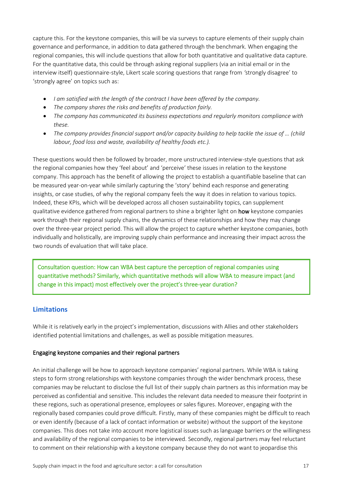capture this. For the keystone companies, this will be via surveys to capture elements of their supply chain governance and performance, in addition to data gathered through the benchmark. When engaging the regional companies, this will include questions that allow for both quantitative and qualitative data capture. For the quantitative data, this could be through asking regional suppliers (via an initial email or in the interview itself) questionnaire-style, Likert scale scoring questions that range from *'*strongly disagree' to 'strongly agree' on topics such as:

- *I am satisfied with the length of the contract I have been offered by the company.*
- *The company shares the risks and benefits of production fairly.*
- *The company has communicated its business expectations and regularly monitors compliance with these.*
- The company provides financial support and/or capacity building to help tackle the issue of ... (child *labour, food loss and waste, availability of healthy foods etc.).*

These questions would then be followed by broader, more unstructured interview-style questions that ask the regional companies how they 'feel about' and 'perceive' these issues in relation to the keystone company. This approach has the benefit of allowing the project to establish a quantifiable baseline that can be measured year-on-year while similarly capturing the 'story' behind each response and generating insights, or case studies, of why the regional company feels the way it does in relation to various topics. Indeed, these KPIs, which will be developed across all chosen sustainability topics, can supplement qualitative evidence gathered from regional partners to shine a brighter light on how keystone companies work through their regional supply chains, the dynamics of these relationships and how they may change over the three-year project period. This will allow the project to capture whether keystone companies, both individually and holistically, are improving supply chain performance and increasing their impact across the two rounds of evaluation that will take place.

Consultation question: How can WBA best capture the perception of regional companies using quantitative methods? Similarly, which quantitative methods will allow WBA to measure impact (and change in this impact) most effectively over the project's three-year duration?

## <span id="page-18-0"></span>**Limitations**

While it is relatively early in the project's implementation, discussions with Allies and other stakeholders identified potential limitations and challenges, as well as possible mitigation measures.

#### Engaging keystone companies and their regional partners

An initial challenge will be how to approach keystone companies' regional partners. While WBA is taking steps to form strong relationships with keystone companies through the wider benchmark process, these companies may be reluctant to disclose the full list of their supply chain partners as this information may be perceived as confidential and sensitive. This includes the relevant data needed to measure their footprint in these regions, such as operational presence, employees or sales figures. Moreover, engaging with the regionally based companies could prove difficult. Firstly, many of these companies might be difficult to reach or even identify (because of a lack of contact information or website) without the support of the keystone companies. This does not take into account more logistical issues such as language barriers or the willingness and availability of the regional companies to be interviewed. Secondly, regional partners may feel reluctant to comment on their relationship with a keystone company because they do not want to jeopardise this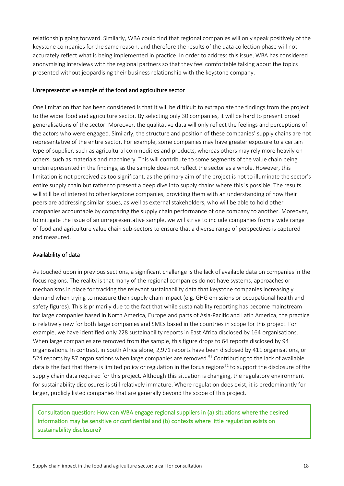relationship going forward. Similarly, WBA could find that regional companies will only speak positively of the keystone companies for the same reason, and therefore the results of the data collection phase will not accurately reflect what is being implemented in practice. In order to address this issue, WBA has considered anonymising interviews with the regional partners so that they feel comfortable talking about the topics presented without jeopardising their business relationship with the keystone company.

#### Unrepresentative sample of the food and agriculture sector

One limitation that has been considered is that it will be difficult to extrapolate the findings from the project to the wider food and agriculture sector. By selecting only 30 companies, it will be hard to present broad generalisations of the sector. Moreover, the qualitative data will only reflect the feelings and perceptions of the actors who were engaged. Similarly, the structure and position of these companies' supply chains are not representative of the entire sector. For example, some companies may have greater exposure to a certain type of supplier, such as agricultural commodities and products, whereas others may rely more heavily on others, such as materials and machinery. This will contribute to some segments of the value chain being underrepresented in the findings, as the sample does not reflect the sector as a whole. However, this limitation is not perceived as too significant, as the primary aim of the project is not to illuminate the sector's entire supply chain but rather to present a deep dive into supply chains where this is possible. The results will still be of interest to other keystone companies, providing them with an understanding of how their peers are addressing similar issues, as well as external stakeholders, who will be able to hold other companies accountable by comparing the supply chain performance of one company to another. Moreover, to mitigate the issue of an unrepresentative sample, we will strive to include companies from a wide range of food and agriculture value chain sub-sectors to ensure that a diverse range of perspectives is captured and measured.

#### Availability of data

As touched upon in previous sections, a significant challenge is the lack of available data on companies in the focus regions. The reality is that many of the regional companies do not have systems, approaches or mechanisms in place for tracking the relevant sustainability data that keystone companies increasingly demand when trying to measure their supply chain impact (e.g. GHG emissions or occupational health and safety figures). This is primarily due to the fact that while sustainability reporting has become mainstream for large companies based in North America, Europe and parts of Asia-Pacific and Latin America, the practice is relatively new for both large companies and SMEs based in the countries in scope for this project. For example, we have identified only 228 sustainability reports in East Africa disclosed by 164 organisations. When large companies are removed from the sample, this figure drops to 64 reports disclosed by 94 organisations. In contrast, in South Africa alone, 2,971 reports have been disclosed by 411 organisations, or 524 reports by 87 organisations when large companies are removed.<sup>51</sup> Contributing to the lack of available data is the fact that there is limited policy or regulation in the focus regions<sup>52</sup> to support the disclosure of the supply chain data required for this project. Although this situation is changing, the regulatory environment for sustainability disclosures is still relatively immature. Where regulation does exist, it is predominantly for larger, publicly listed companies that are generally beyond the scope of this project.

Consultation question: How can WBA engage regional suppliers in (a) situations where the desired information may be sensitive or confidential and (b) contexts where little regulation exists on sustainability disclosure?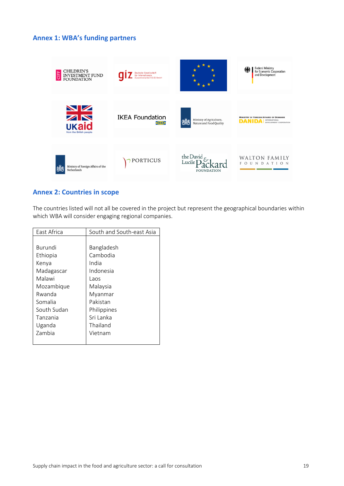#### <span id="page-20-0"></span>**Annex 1: WBA's funding partners**



#### <span id="page-20-1"></span>**Annex 2: Countries in scope**

The countries listed will not all be covered in the project but represent the geographical boundaries within which WBA will consider engaging regional companies.

| East Africa   | South and South-east Asia |
|---------------|---------------------------|
|               |                           |
| Burundi       | Bangladesh                |
| Ethiopia      | Cambodia                  |
| Kenya         | India                     |
| Madagascar    | Indonesia                 |
| Malawi        | Laos                      |
| Mozambique    | Malaysia                  |
| Rwanda        | Myanmar                   |
| Somalia       | Pakistan                  |
| South Sudan   | Philippines               |
| Tanzania      | Sri Lanka                 |
| Uganda        | Thailand                  |
| <b>Zambia</b> | Vietnam                   |
|               |                           |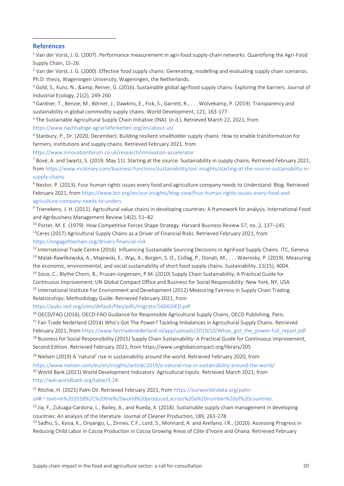#### **References**

<sup>1</sup> Van der Vorst, J. G. (2007). Performance measurement in agri-food supply-chain networks. Quantifying the Agri-Food Supply Chain, 15-26.

 $2$  Van der Vorst, J. G. (2000). Effective food supply chains: Generating, modelling and evaluating supply chain scenarios. Ph.D. thesis, Wageningen University, Wageningen, the Netherlands.

<sup>3</sup> Gold, S., Kunz, N., & amp; Reiner, G. (2016). Sustainable global agrifood supply chains: Exploring the barriers. Journal of Industrial Ecology, 21(2), 249-260

<sup>4</sup> Gardner, T., Benzie, M., Börner, J., Dawkins, E., Fick, S., Garrett, R., . . . Wolvekamp, P. (2019). Transparency and sustainability in global commodity supply chains. World Development, 121, 163-177

<sup>5</sup> The Sustainable Agricultural Supply Chain Initiative (INA). (n.d.). Retrieved March 22, 2021, from <https://www.nachhaltige-agrarlieferketten.org/en/about-us/>

6 Stanbury, P., Dr. (2020, December). Building resilient smallholder supply chains: How to enable transformation for farmers, institutions and supply chains. Retrieved February 2021, from

<https://www.innovationforum.co.uk/research/innovation-accelerator>

 $^7$  Bové, A. and Swartz, S. (2019, May 11). Starting at the source: Sustainability in supply chains. Retrieved February 2021, fro[m https://www.mckinsey.com/business-functions/sustainability/our-insights/starting-at-the-source-sustainability-in](https://www.mckinsey.com/business-functions/sustainability/our-insights/starting-at-the-source-sustainability-in-supply-chains)[supply-chains](https://www.mckinsey.com/business-functions/sustainability/our-insights/starting-at-the-source-sustainability-in-supply-chains)

<sup>8</sup> Nestor, P. (2013). Four human rights issues every food and agriculture company needs to Understand: Blog. Retrieved February 2021, from [https://www.bsr.org/en/our-insights/blog-view/four-human-rights-issues-every-food-and](https://www.bsr.org/en/our-insights/blog-view/four-human-rights-issues-every-food-and-agriculture-company-needs-to-unders)[agriculture-company-needs-to-unders](https://www.bsr.org/en/our-insights/blog-view/four-human-rights-issues-every-food-and-agriculture-company-needs-to-unders)

<sup>9</sup> Trienekens, J. H. (2011). Agricultural value chains in developing countries: A framework for analysis. International Food and Agribusiness Management Review 14(2), 51–82.

<sup>10</sup> Porter, M. E. (1979). How Competitive Forces Shape Strategy. Harvard Business Review 57, no. 2, 137-145. <sup>11</sup>Ceres (2017) Agricultural Supply Chains as a Driver of Financial Risks. Retrieved February 2021, from

<https://engagethechain.org/drivers-financial-risk>

<sup>12</sup> International Trade Centre (2016). Influencing Sustainable Sourcing Decisions in AgriFood Supply Chains. ITC, Geneva. <sup>13</sup> Malak-Rawlikowska, A., Majewski, E., Wąs, A., Borgen, S. O., Csillag, P., Donati, M., . . . Wavresky, P. (2019). Measuring the economic, environmental, and social sustainability of short food supply chains. Sustainability, 11(15), 4004. <sup>14</sup> Sisco, C.; Blythe Chorn, B.; Pruzan-Jorgensen, P.M. (2010) Supply Chain Sustainability; A Practical Guide for

Continuous Improvement; UN Global Compact Office and Business for Social Responsibility: New York, NY, USA. <sup>15</sup> International Institute For Environment and Development (2012) Measuring Fairness in Supply Chain Trading

Relationships: Methodology Guide. Retrieved February 2021, from

<https://pubs.iied.org/sites/default/files/pdfs/migrate/16042IIED.pdf>

<sup>16</sup> OECD/FAO (2016), OECD-FAO Guidance for Responsible Agricultural Supply Chains, OECD Publishing, Paris.

<sup>17</sup> Fair Trade Nederland (2014) Who's Got The Power? Tackling Imbalances in Agricultural Supply Chains. Retrieved

February 2021, from [https://www.fairtradenederland.nl/app/uploads/2019/10/Whos\\_got\\_the\\_power-full\\_report.pdf](https://www.fairtradenederland.nl/app/uploads/2019/10/Whos_got_the_power-full_report.pdf) <sup>18</sup> Business for Social Responsibility (2015) Supply Chain Sustainability: A Practical Guide for Continuous Improvement, Second Edition. Retrieved February 2021, from https://www.unglobalcompact.org/library/205

 $19$  Nielsen (2019) A 'natural' rise in sustainability around the world. Retrieved February 2020, from

<https://www.nielsen.com/eu/en/insights/article/2019/a-natural-rise-in-sustainability-around-the-world/> <sup>20</sup> World Bank (2021) World Development Indicators: Agricultural inputs. Retrieved March 2021, from [http://wdi.worldbank.org/table/3.2#.](http://wdi.worldbank.org/table/3.2)

<sup>21</sup> Ritchie, H. (2021) Palm Oil. Retrieved February 2021, from [https://ourworldindata.org/palm](https://ourworldindata.org/palm-oil#:~:text=In%202018%2C%20the%20world%20produced,across%20a%20number%20of%20countries)[oil#:~:text=In%202018%2C%20the%20world%20produced,across%20a%20number%20of%20countries.](https://ourworldindata.org/palm-oil#:~:text=In%202018%2C%20the%20world%20produced,across%20a%20number%20of%20countries)

 $^{22}$  Jia, F., Zuluaga-Cardona, L., Bailey, A., and Rueda, X. (2018). Sustainable supply chain management in developing countries: An analysis of the literature. Journal of Cleaner Production, 189, 263-278

<sup>23</sup> Sadhu, S., Kysia, K., Onyango, L., Zinnes, C.F., Lord, S., Monnard, A. and Arellano, I.R., (2020). Assessing Progress in Reducing Child Labor in Cocoa Production in Cocoa Growing Areas of Côte d'Ivoire and Ghana. Retrieved February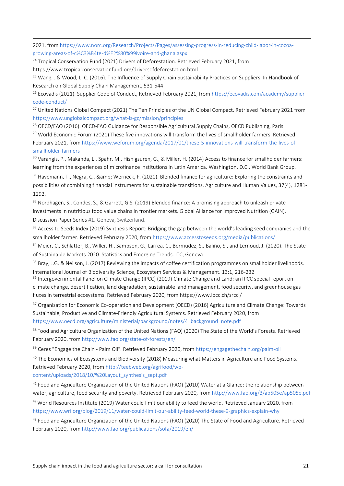2021, fro[m https://www.norc.org/Research/Projects/Pages/assessing-progress-in-reducing-child-labor-in-cocoa](https://www.norc.org/Research/Projects/Pages/assessing-progress-in-reducing-child-labor-in-cocoa-growing-areas-of-c%C3%B4te-d%E2%80%99ivoire-and-ghana.aspx)[growing-areas-of-c%C3%B4te-d%E2%80%99ivoire-and-ghana.aspx](https://www.norc.org/Research/Projects/Pages/assessing-progress-in-reducing-child-labor-in-cocoa-growing-areas-of-c%C3%B4te-d%E2%80%99ivoire-and-ghana.aspx)

 $24$  Tropical Conservation Fund (2021) Drivers of Deforestation. Retrieved February 2021, from https://www.tropicalconservationfund.org/driversofdeforestation.html

<sup>25</sup> Wang, . & Wood, L. C. (2016). The Influence of Supply Chain Sustainability Practices on Suppliers. In Handbook of Research on Global Supply Chain Management, 531-544

<sup>26</sup> Ecovadis (2021). Supplier Code of Conduct, Retrieved February 2021, from [https://ecovadis.com/academy/supplier](https://ecovadis.com/academy/supplier-code-conduct/)[code-conduct/](https://ecovadis.com/academy/supplier-code-conduct/)

<sup>27</sup> United Nations Global Compact (2021) The Ten Principles of the UN Global Compact. Retrieved February 2021 from <https://www.unglobalcompact.org/what-is-gc/mission/principles>

<sup>28</sup> OECD/FAO (2016). OECD-FAO Guidance for Responsible Agricultural Supply Chains, OECD Publishing, Paris

<sup>29</sup> World Economic Forum (2021) These five innovations will transform the lives of smallholder farmers. Retrieved February 2021, from [https://www.weforum.org/agenda/2017/01/these-5-innovations-will-transform-the-lives-of](https://www.weforum.org/agenda/2017/01/these-5-innovations-will-transform-the-lives-of-smallholder-farmers)[smallholder-farmers](https://www.weforum.org/agenda/2017/01/these-5-innovations-will-transform-the-lives-of-smallholder-farmers)

<sup>30</sup> Varangis, P., Makanda, L., Spahr, M., Hishigsuren, G., & Miller, H. (2014) Access to finance for smallholder farmers: learning from the experiences of microfinance institutions in Latin America. Washington, D.C., World Bank Group.

 $31$  Havemann, T., Negra, C., & amp; Werneck, F. (2020). Blended finance for agriculture: Exploring the constraints and possibilities of combining financial instruments for sustainable transitions. Agriculture and Human Values, 37(4), 1281- 1292.

<sup>32</sup> Nordhagen, S., Condes, S., & Garrett, G.S. (2019) Blended finance: A promising approach to unleash private investments in nutritious food value chains in frontier markets. Global Alliance for Improved Nutrition (GAIN). Discussion Paper Series #1. Geneva, Switzerland.

<sup>33</sup> Access to Seeds Index (2019) Synthesis Report: Bridging the gap between the world's leading seed companies and the smallholder farmer. Retrieved February 2020, from<https://www.accesstoseeds.org/media/publications/>

34 Meier, C., Schlatter, B., Willer, H., Sampson, G., Larrea, C., Bermudez, S., Baliño, S., and Lernoud, J. (2020). The State of Sustainable Markets 2020: Statistics and Emerging Trends. ITC, Geneva

<sup>35</sup> Bray, J.G. & Neilson, J. (2017) Reviewing the impacts of coffee certification programmes on smallholder livelihoods. International Journal of Biodiversity Science, Ecosystem Services & Management. 13:1, 216-232

<sup>36</sup> Intergovernmental Panel on Climate Change (IPCC) (2019) Climate Change and Land: an IPCC special report on climate change, desertification, land degradation, sustainable land management, food security, and greenhouse gas fluxes in terrestrial ecosystems. Retrieved February 2020, from<https://www.ipcc.ch/srccl/>

<sup>37</sup> Organisation for Economic Co-operation and Development (OECD) (2016) Agriculture and Climate Change: Towards Sustainable, Productive and Climate-Friendly Agricultural Systems. Retrieved February 2020, from [https://www.oecd.org/agriculture/ministerial/background/notes/4\\_background\\_note.pdf](https://www.oecd.org/agriculture/ministerial/background/notes/4_background_note.pdf)

<sup>38</sup> Food and Agriculture Organization of the United Nations (FAO) (2020) The State of the World's Forests. Retrieved February 2020, from<http://www.fao.org/state-of-forests/en/>

<sup>39</sup> Ceres "Engage the Chain - Palm Oil". Retrieved February 2020, from<https://engagethechain.org/palm-oil>

<sup>40</sup> The Economics of Ecosystems and Biodiversity (2018) Measuring what Matters in Agriculture and Food Systems. Retrieved February 2020, from [http://teebweb.org/agrifood/wp](http://teebweb.org/agrifood/wp-content/uploads/2018/10/%20Layout_synthesis_sept.pdf)[content/uploads/2018/10/%20Layout\\_synthesis\\_sept.pdf](http://teebweb.org/agrifood/wp-content/uploads/2018/10/%20Layout_synthesis_sept.pdf)

<sup>41</sup> Food and Agriculture Organization of the United Nations (FAO) (2010) Water at a Glance: the relationship between water, agriculture, food security and poverty. Retrieved February 2020, from<http://www.fao.org/3/ap505e/ap505e.pdf>

<sup>42</sup> World Resources Institute (2019) Water could limit our ability to feed the world. Retrieved January 2020, from <https://www.wri.org/blog/2019/11/water-could-limit-our-ability-feed-world-these-9-graphics-explain-why>

<sup>43</sup> Food and Agriculture Organization of the United Nations (FAO) (2020) The State of Food and Agriculture. Retrieved February 2020, from<http://www.fao.org/publications/sofa/2019/en/>